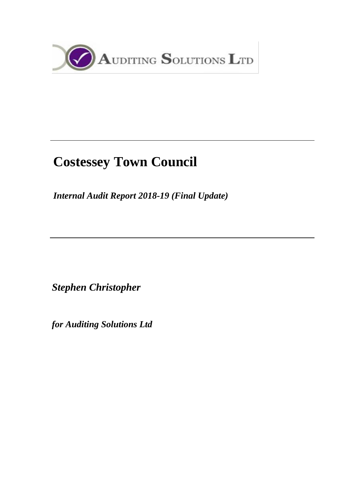

# **Costessey Town Council**

*Internal Audit Report 2018-19 (Final Update)*

*Stephen Christopher* 

*for Auditing Solutions Ltd*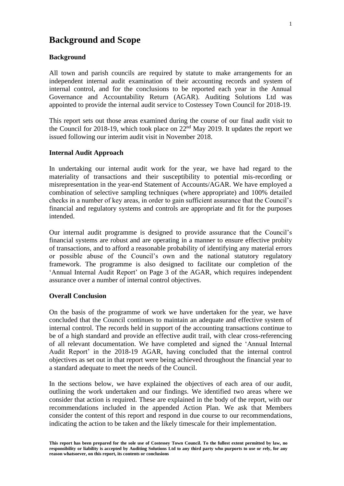### **Background and Scope**

#### **Background**

All town and parish councils are required by statute to make arrangements for an independent internal audit examination of their accounting records and system of internal control, and for the conclusions to be reported each year in the Annual Governance and Accountability Return (AGAR). Auditing Solutions Ltd was appointed to provide the internal audit service to Costessey Town Council for 2018-19.

This report sets out those areas examined during the course of our final audit visit to the Council for 2018-19, which took place on  $22<sup>nd</sup>$  May 2019. It updates the report we issued following our interim audit visit in November 2018.

#### **Internal Audit Approach**

In undertaking our internal audit work for the year, we have had regard to the materiality of transactions and their susceptibility to potential mis-recording or misrepresentation in the year-end Statement of Accounts/AGAR. We have employed a combination of selective sampling techniques (where appropriate) and 100% detailed checks in a number of key areas, in order to gain sufficient assurance that the Council's financial and regulatory systems and controls are appropriate and fit for the purposes intended.

Our internal audit programme is designed to provide assurance that the Council's financial systems are robust and are operating in a manner to ensure effective probity of transactions, and to afford a reasonable probability of identifying any material errors or possible abuse of the Council's own and the national statutory regulatory framework. The programme is also designed to facilitate our completion of the 'Annual Internal Audit Report' on Page 3 of the AGAR, which requires independent assurance over a number of internal control objectives.

#### **Overall Conclusion**

On the basis of the programme of work we have undertaken for the year, we have concluded that the Council continues to maintain an adequate and effective system of internal control. The records held in support of the accounting transactions continue to be of a high standard and provide an effective audit trail, with clear cross-referencing of all relevant documentation. We have completed and signed the 'Annual Internal Audit Report' in the 2018-19 AGAR, having concluded that the internal control objectives as set out in that report were being achieved throughout the financial year to a standard adequate to meet the needs of the Council.

In the sections below, we have explained the objectives of each area of our audit, outlining the work undertaken and our findings. We identified two areas where we consider that action is required. These are explained in the body of the report, with our recommendations included in the appended Action Plan. We ask that Members consider the content of this report and respond in due course to our recommendations, indicating the action to be taken and the likely timescale for their implementation.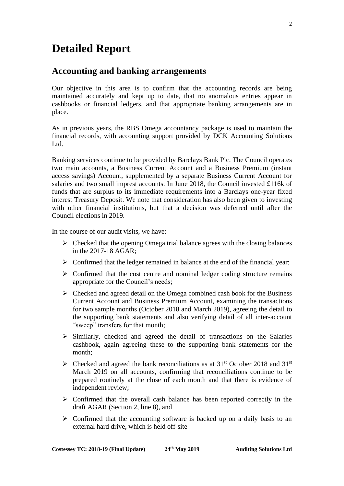## **Detailed Report**

### **Accounting and banking arrangements**

Our objective in this area is to confirm that the accounting records are being maintained accurately and kept up to date, that no anomalous entries appear in cashbooks or financial ledgers, and that appropriate banking arrangements are in place.

As in previous years, the RBS Omega accountancy package is used to maintain the financial records, with accounting support provided by DCK Accounting Solutions Ltd.

Banking services continue to be provided by Barclays Bank Plc. The Council operates two main accounts, a Business Current Account and a Business Premium (instant access savings) Account, supplemented by a separate Business Current Account for salaries and two small imprest accounts. In June 2018, the Council invested £116k of funds that are surplus to its immediate requirements into a Barclays one-year fixed interest Treasury Deposit. We note that consideration has also been given to investing with other financial institutions, but that a decision was deferred until after the Council elections in 2019.

In the course of our audit visits, we have:

- $\triangleright$  Checked that the opening Omega trial balance agrees with the closing balances in the 2017-18 AGAR;
- $\triangleright$  Confirmed that the ledger remained in balance at the end of the financial year;
- $\triangleright$  Confirmed that the cost centre and nominal ledger coding structure remains appropriate for the Council's needs;
- $\triangleright$  Checked and agreed detail on the Omega combined cash book for the Business Current Account and Business Premium Account, examining the transactions for two sample months (October 2018 and March 2019), agreeing the detail to the supporting bank statements and also verifying detail of all inter-account "sweep" transfers for that month;
- $\triangleright$  Similarly, checked and agreed the detail of transactions on the Salaries cashbook, again agreeing these to the supporting bank statements for the month;
- $\triangleright$  Checked and agreed the bank reconciliations as at 31<sup>st</sup> October 2018 and 31<sup>st</sup> March 2019 on all accounts, confirming that reconciliations continue to be prepared routinely at the close of each month and that there is evidence of independent review;
- ➢ Confirmed that the overall cash balance has been reported correctly in the draft AGAR (Section 2, line 8), and
- $\triangleright$  Confirmed that the accounting software is backed up on a daily basis to an external hard drive, which is held off-site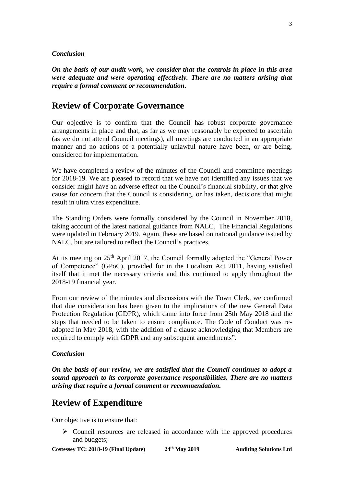#### *Conclusion*

*On the basis of our audit work, we consider that the controls in place in this area were adequate and were operating effectively. There are no matters arising that require a formal comment or recommendation.*

### **Review of Corporate Governance**

Our objective is to confirm that the Council has robust corporate governance arrangements in place and that, as far as we may reasonably be expected to ascertain (as we do not attend Council meetings), all meetings are conducted in an appropriate manner and no actions of a potentially unlawful nature have been, or are being, considered for implementation.

We have completed a review of the minutes of the Council and committee meetings for 2018-19. We are pleased to record that we have not identified any issues that we consider might have an adverse effect on the Council's financial stability, or that give cause for concern that the Council is considering, or has taken, decisions that might result in ultra vires expenditure.

The Standing Orders were formally considered by the Council in November 2018, taking account of the latest national guidance from NALC. The Financial Regulations were updated in February 2019. Again, these are based on national guidance issued by NALC, but are tailored to reflect the Council's practices.

At its meeting on  $25<sup>th</sup>$  April 2017, the Council formally adopted the "General Power of Competence" (GPoC), provided for in the Localism Act 2011, having satisfied itself that it met the necessary criteria and this continued to apply throughout the 2018-19 financial year.

From our review of the minutes and discussions with the Town Clerk, we confirmed that due consideration has been given to the implications of the new General Data Protection Regulation (GDPR), which came into force from 25th May 2018 and the steps that needed to be taken to ensure compliance. The Code of Conduct was readopted in May 2018, with the addition of a clause acknowledging that Members are required to comply with GDPR and any subsequent amendments".

#### *Conclusion*

*On the basis of our review, we are satisfied that the Council continues to adopt a sound approach to its corporate governance responsibilities. There are no matters arising that require a formal comment or recommendation.*

### **Review of Expenditure**

Our objective is to ensure that:

➢ Council resources are released in accordance with the approved procedures and budgets;

**Costessey TC: 2018-19 (Final Update) 24**

**th May 2019 Auditing Solutions Ltd**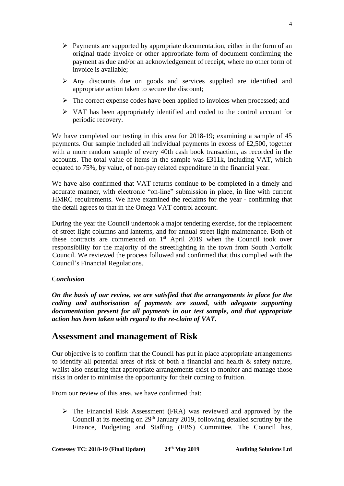- ➢ Payments are supported by appropriate documentation, either in the form of an original trade invoice or other appropriate form of document confirming the payment as due and/or an acknowledgement of receipt, where no other form of invoice is available;
- ➢ Any discounts due on goods and services supplied are identified and appropriate action taken to secure the discount;
- $\triangleright$  The correct expense codes have been applied to invoices when processed; and
- ➢ VAT has been appropriately identified and coded to the control account for periodic recovery.

We have completed our testing in this area for 2018-19; examining a sample of 45 payments. Our sample included all individual payments in excess of £2,500, together with a more random sample of every 40th cash book transaction, as recorded in the accounts. The total value of items in the sample was £311k, including VAT, which equated to 75%, by value, of non-pay related expenditure in the financial year.

We have also confirmed that VAT returns continue to be completed in a timely and accurate manner, with electronic "on-line" submission in place, in line with current HMRC requirements. We have examined the reclaims for the year - confirming that the detail agrees to that in the Omega VAT control account.

During the year the Council undertook a major tendering exercise, for the replacement of street light columns and lanterns, and for annual street light maintenance. Both of these contracts are commenced on  $1<sup>st</sup>$  April 2019 when the Council took over responsibility for the majority of the streetlighting in the town from South Norfolk Council. We reviewed the process followed and confirmed that this complied with the Council's Financial Regulations.

### C*onclusion*

*On the basis of our review, we are satisfied that the arrangements in place for the coding and authorisation of payments are sound, with adequate supporting documentation present for all payments in our test sample, and that appropriate action has been taken with regard to the re-claim of VAT.* 

### **Assessment and management of Risk**

Our objective is to confirm that the Council has put in place appropriate arrangements to identify all potential areas of risk of both a financial and health & safety nature, whilst also ensuring that appropriate arrangements exist to monitor and manage those risks in order to minimise the opportunity for their coming to fruition.

From our review of this area, we have confirmed that:

➢ The Financial Risk Assessment (FRA) was reviewed and approved by the Council at its meeting on  $29<sup>th</sup>$  January 2019, following detailed scrutiny by the Finance, Budgeting and Staffing (FBS) Committee. The Council has,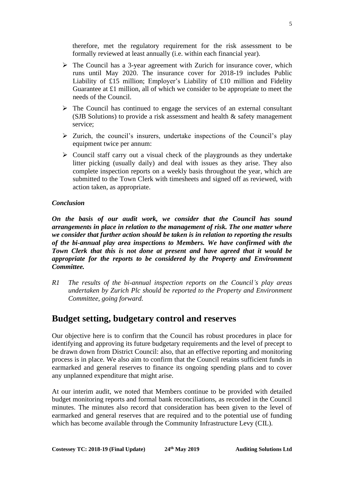therefore, met the regulatory requirement for the risk assessment to be formally reviewed at least annually (i.e. within each financial year).

- ➢ The Council has a 3-year agreement with Zurich for insurance cover, which runs until May 2020. The insurance cover for 2018-19 includes Public Liability of £15 million; Employer's Liability of £10 million and Fidelity Guarantee at £1 million, all of which we consider to be appropriate to meet the needs of the Council.
- $\triangleright$  The Council has continued to engage the services of an external consultant (SJB Solutions) to provide a risk assessment and health & safety management service;
- $\triangleright$  Zurich, the council's insurers, undertake inspections of the Council's play equipment twice per annum:
- $\triangleright$  Council staff carry out a visual check of the playgrounds as they undertake litter picking (usually daily) and deal with issues as they arise. They also complete inspection reports on a weekly basis throughout the year, which are submitted to the Town Clerk with timesheets and signed off as reviewed, with action taken, as appropriate.

#### *Conclusion*

*On the basis of our audit work, we consider that the Council has sound arrangements in place in relation to the management of risk. The one matter where we consider that further action should be taken is in relation to reporting the results of the bi-annual play area inspections to Members. We have confirmed with the Town Clerk that this is not done at present and have agreed that it would be appropriate for the reports to be considered by the Property and Environment Committee.* 

*R1 The results of the bi-annual inspection reports on the Council's play areas undertaken by Zurich Plc should be reported to the Property and Environment Committee, going forward.* 

### **Budget setting, budgetary control and reserves**

Our objective here is to confirm that the Council has robust procedures in place for identifying and approving its future budgetary requirements and the level of precept to be drawn down from District Council: also, that an effective reporting and monitoring process is in place. We also aim to confirm that the Council retains sufficient funds in earmarked and general reserves to finance its ongoing spending plans and to cover any unplanned expenditure that might arise.

At our interim audit, we noted that Members continue to be provided with detailed budget monitoring reports and formal bank reconciliations, as recorded in the Council minutes. The minutes also record that consideration has been given to the level of earmarked and general reserves that are required and to the potential use of funding which has become available through the Community Infrastructure Levy (CIL).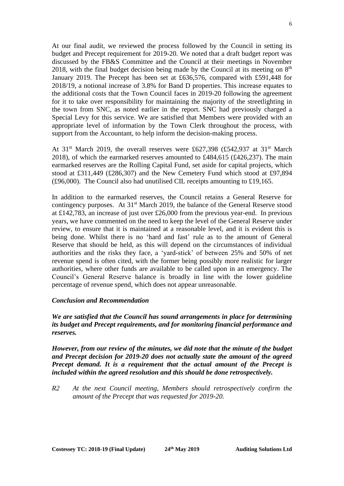At our final audit, we reviewed the process followed by the Council in setting its budget and Precept requirement for 2019-20. We noted that a draft budget report was discussed by the FB&S Committee and the Council at their meetings in November 2018, with the final budget decision being made by the Council at its meeting on  $8<sup>th</sup>$ January 2019. The Precept has been set at £636,576, compared with £591,448 for 2018/19, a notional increase of 3.8% for Band D properties. This increase equates to the additional costs that the Town Council faces in 2019-20 following the agreement for it to take over responsibility for maintaining the majority of the streetlighting in the town from SNC, as noted earlier in the report. SNC had previously charged a Special Levy for this service. We are satisfied that Members were provided with an appropriate level of information by the Town Clerk throughout the process, with support from the Accountant, to help inform the decision-making process.

At  $31<sup>st</sup>$  March 2019, the overall reserves were £627,398 (£542,937 at  $31<sup>st</sup>$  March 2018), of which the earmarked reserves amounted to £484,615 (£426,237). The main earmarked reserves are the Rolling Capital Fund, set aside for capital projects, which stood at £311,449 (£286,307) and the New Cemetery Fund which stood at £97,894 (£96,000). The Council also had unutilised CIL receipts amounting to £19,165.

In addition to the earmarked reserves, the Council retains a General Reserve for contingency purposes. At 31<sup>st</sup> March 2019, the balance of the General Reserve stood at £142,783, an increase of just over £26,000 from the previous year-end. In previous years, we have commented on the need to keep the level of the General Reserve under review, to ensure that it is maintained at a reasonable level, and it is evident this is being done. Whilst there is no 'hard and fast' rule as to the amount of General Reserve that should be held, as this will depend on the circumstances of individual authorities and the risks they face, a 'yard-stick' of between 25% and 50% of net revenue spend is often cited, with the former being possibly more realistic for larger authorities, where other funds are available to be called upon in an emergency. The Council's General Reserve balance is broadly in line with the lower guideline percentage of revenue spend, which does not appear unreasonable.

#### *Conclusion and Recommendation*

*We are satisfied that the Council has sound arrangements in place for determining its budget and Precept requirements, and for monitoring financial performance and reserves.* 

*However, from our review of the minutes, we did note that the minute of the budget and Precept decision for 2019-20 does not actually state the amount of the agreed Precept demand. It is a requirement that the actual amount of the Precept is included within the agreed resolution and this should be done retrospectively.*

*R2 At the next Council meeting, Members should retrospectively confirm the amount of the Precept that was requested for 2019-20.*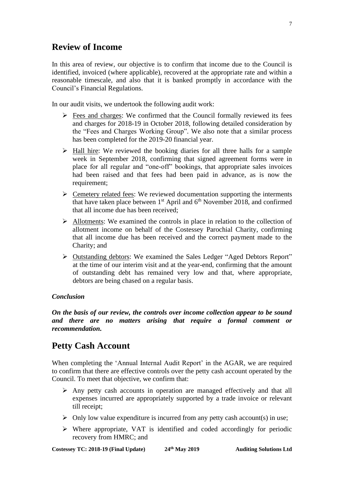### **Review of Income**

In this area of review, our objective is to confirm that income due to the Council is identified, invoiced (where applicable), recovered at the appropriate rate and within a reasonable timescale, and also that it is banked promptly in accordance with the Council's Financial Regulations.

In our audit visits, we undertook the following audit work:

- $\triangleright$  Fees and charges: We confirmed that the Council formally reviewed its fees and charges for 2018-19 in October 2018, following detailed consideration by the "Fees and Charges Working Group". We also note that a similar process has been completed for the 2019-20 financial year.
- $\triangleright$  Hall hire: We reviewed the booking diaries for all three halls for a sample week in September 2018, confirming that signed agreement forms were in place for all regular and "one-off" bookings, that appropriate sales invoices had been raised and that fees had been paid in advance, as is now the requirement;
- $\triangleright$  Cemetery related fees: We reviewed documentation supporting the interments that have taken place between  $1<sup>st</sup>$  April and  $6<sup>th</sup>$  November 2018, and confirmed that all income due has been received;
- ➢ Allotments: We examined the controls in place in relation to the collection of allotment income on behalf of the Costessey Parochial Charity, confirming that all income due has been received and the correct payment made to the Charity; and
- ➢ Outstanding debtors: We examined the Sales Ledger "Aged Debtors Report" at the time of our interim visit and at the year-end, confirming that the amount of outstanding debt has remained very low and that, where appropriate, debtors are being chased on a regular basis.

#### *Conclusion*

*On the basis of our review, the controls over income collection appear to be sound and there are no matters arising that require a formal comment or recommendation.*

### **Petty Cash Account**

When completing the 'Annual Internal Audit Report' in the AGAR, we are required to confirm that there are effective controls over the petty cash account operated by the Council. To meet that objective, we confirm that:

- ➢ Any petty cash accounts in operation are managed effectively and that all expenses incurred are appropriately supported by a trade invoice or relevant till receipt;
- $\triangleright$  Only low value expenditure is incurred from any petty cash account(s) in use;
- ➢ Where appropriate, VAT is identified and coded accordingly for periodic recovery from HMRC; and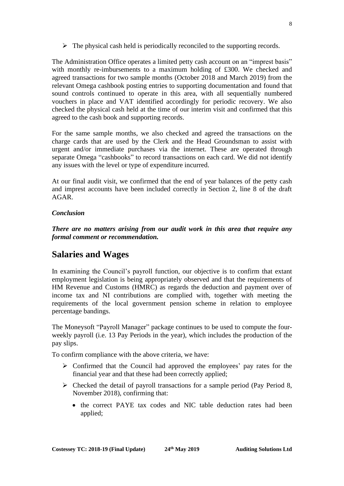$\triangleright$  The physical cash held is periodically reconciled to the supporting records.

The Administration Office operates a limited petty cash account on an "imprest basis" with monthly re-imbursements to a maximum holding of £300. We checked and agreed transactions for two sample months (October 2018 and March 2019) from the relevant Omega cashbook posting entries to supporting documentation and found that sound controls continued to operate in this area, with all sequentially numbered vouchers in place and VAT identified accordingly for periodic recovery. We also checked the physical cash held at the time of our interim visit and confirmed that this agreed to the cash book and supporting records.

For the same sample months, we also checked and agreed the transactions on the charge cards that are used by the Clerk and the Head Groundsman to assist with urgent and/or immediate purchases via the internet. These are operated through separate Omega "cashbooks" to record transactions on each card. We did not identify any issues with the level or type of expenditure incurred.

At our final audit visit, we confirmed that the end of year balances of the petty cash and imprest accounts have been included correctly in Section 2, line 8 of the draft AGAR.

#### *Conclusion*

*There are no matters arising from our audit work in this area that require any formal comment or recommendation.* 

### **Salaries and Wages**

In examining the Council's payroll function, our objective is to confirm that extant employment legislation is being appropriately observed and that the requirements of HM Revenue and Customs (HMRC) as regards the deduction and payment over of income tax and NI contributions are complied with, together with meeting the requirements of the local government pension scheme in relation to employee percentage bandings.

The Moneysoft "Payroll Manager" package continues to be used to compute the fourweekly payroll (i.e. 13 Pay Periods in the year), which includes the production of the pay slips.

To confirm compliance with the above criteria, we have:

- ➢ Confirmed that the Council had approved the employees' pay rates for the financial year and that these had been correctly applied;
- ➢ Checked the detail of payroll transactions for a sample period (Pay Period 8, November 2018), confirming that:
	- the correct PAYE tax codes and NIC table deduction rates had been applied;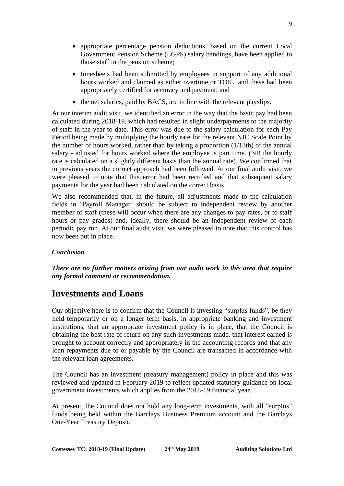- appropriate percentage pension deductions, based on the current Local Government Pension Scheme (LGPS) salary bandings, have been applied to those staff in the pension scheme;
- timesheets had been submitted by employees in support of any additional hours worked and claimed as either overtime or TOIL, and these had been appropriately certified for accuracy and payment; and
- the net salaries, paid by BACS, are in line with the relevant payslips.

At our interim audit visit, we identified an error in the way that the basic pay had been calculated during 2018-19, which had resulted in slight underpayments to the majority of staff in the year to date. This error was due to the salary calculation for each Pay Period being made by multiplying the hourly rate for the relevant NJC Scale Point by the number of hours worked, rather than by taking a proportion (1/13th) of the annual salary - adjusted for hours worked where the employee is part time. (NB the hourly rate is calculated on a slightly different basis than the annual rate). We confirmed that in previous years the correct approach had been followed. At our final audit visit, we were pleased to note that this error had been rectified and that subsequent salary payments for the year had been calculated on the correct basis.

We also recommended that, in the future, all adjustments made to the calculation fields in 'Payroll Manager' should be subject to independent review by another member of staff (these will occur when there are any changes to pay rates, or to staff hours or pay grades) and, ideally, there should be an independent review of each periodic pay run. At our final audit visit, we were pleased to note that this control has now been put in place.

### *Conclusion*

*There are no further matters arising from our audit work in this area that require any formal comment or recommendation.* 

### **Investments and Loans**

Our objective here is to confirm that the Council is investing "surplus funds", be they held temporarily or on a longer term basis, in appropriate banking and investment institutions, that an appropriate investment policy is in place, that the Council is obtaining the best rate of return on any such investments made, that interest earned is brought to account correctly and appropriately in the accounting records and that any loan repayments due to or payable by the Council are transacted in accordance with the relevant loan agreements.

The Council has an investment (treasury management) policy in place and this was reviewed and updated in February 2019 to reflect updated statutory guidance on local government investments which applies from the 2018-19 financial year.

At present, the Council does not hold any long-term investments, with all "surplus" funds being held within the Barclays Business Premium account and the Barclays One-Year Treasury Deposit.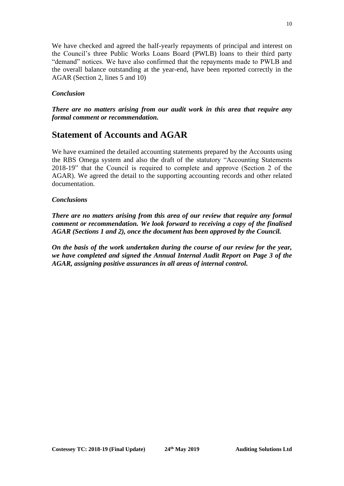We have checked and agreed the half-yearly repayments of principal and interest on the Council's three Public Works Loans Board (PWLB) loans to their third party "demand" notices. We have also confirmed that the repayments made to PWLB and the overall balance outstanding at the year-end, have been reported correctly in the AGAR (Section 2, lines 5 and 10)

#### *Conclusion*

*There are no matters arising from our audit work in this area that require any formal comment or recommendation.*

### **Statement of Accounts and AGAR**

We have examined the detailed accounting statements prepared by the Accounts using the RBS Omega system and also the draft of the statutory "Accounting Statements 2018-19" that the Council is required to complete and approve (Section 2 of the AGAR). We agreed the detail to the supporting accounting records and other related documentation.

#### *Conclusions*

*There are no matters arising from this area of our review that require any formal comment or recommendation. We look forward to receiving a copy of the finalised AGAR (Sections 1 and 2), once the document has been approved by the Council.*

*On the basis of the work undertaken during the course of our review for the year, we have completed and signed the Annual Internal Audit Report on Page 3 of the AGAR, assigning positive assurances in all areas of internal control.*